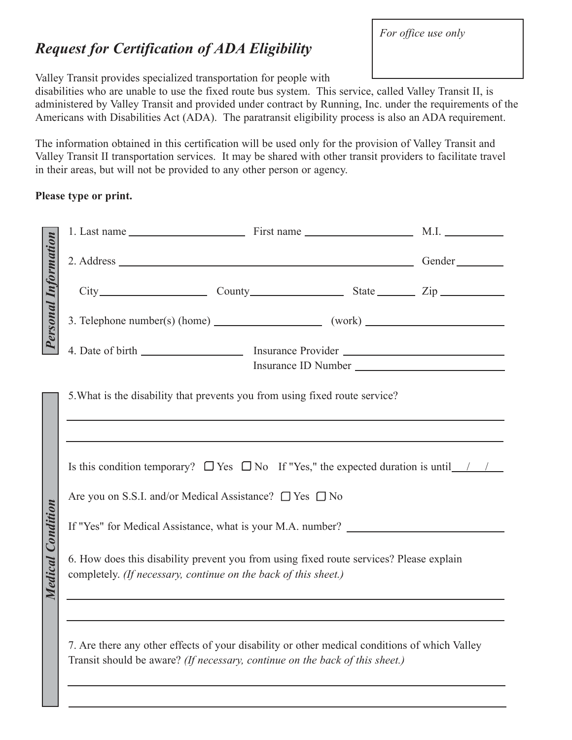## *Request for Certification of ADA Eligibility*

 *For office use only*

Valley Transit provides specialized transportation for people with

disabilities who are unable to use the fixed route bus system. This service, called Valley Transit II, is administered by Valley Transit and provided under contract by Running, Inc. under the requirements of the Americans with Disabilities Act (ADA). The paratransit eligibility process is also an ADA requirement.

The information obtained in this certification will be used only for the provision of Valley Transit and Valley Transit II transportation services. It may be shared with other transit providers to facilitate travel in their areas, but will not be provided to any other person or agency.

## **Please type or print.**

|                             | 2. Address Gender                                                                                                                                                             |  |  |  |  |  |  |  |
|-----------------------------|-------------------------------------------------------------------------------------------------------------------------------------------------------------------------------|--|--|--|--|--|--|--|
| <b>Personal Information</b> |                                                                                                                                                                               |  |  |  |  |  |  |  |
|                             |                                                                                                                                                                               |  |  |  |  |  |  |  |
|                             |                                                                                                                                                                               |  |  |  |  |  |  |  |
|                             | 5. What is the disability that prevents you from using fixed route service?                                                                                                   |  |  |  |  |  |  |  |
|                             |                                                                                                                                                                               |  |  |  |  |  |  |  |
|                             | Is this condition temporary? $\Box$ Yes $\Box$ No If "Yes," the expected duration is until $\Box$                                                                             |  |  |  |  |  |  |  |
|                             | Are you on S.S.I. and/or Medical Assistance? □ Yes □ No                                                                                                                       |  |  |  |  |  |  |  |
| Condition                   | If "Yes" for Medical Assistance, what is your M.A. number?                                                                                                                    |  |  |  |  |  |  |  |
| <b>Medical</b>              | 6. How does this disability prevent you from using fixed route services? Please explain<br>completely. (If necessary, continue on the back of this sheet.)                    |  |  |  |  |  |  |  |
|                             |                                                                                                                                                                               |  |  |  |  |  |  |  |
|                             | 7. Are there any other effects of your disability or other medical conditions of which Valley<br>Transit should be aware? (If necessary, continue on the back of this sheet.) |  |  |  |  |  |  |  |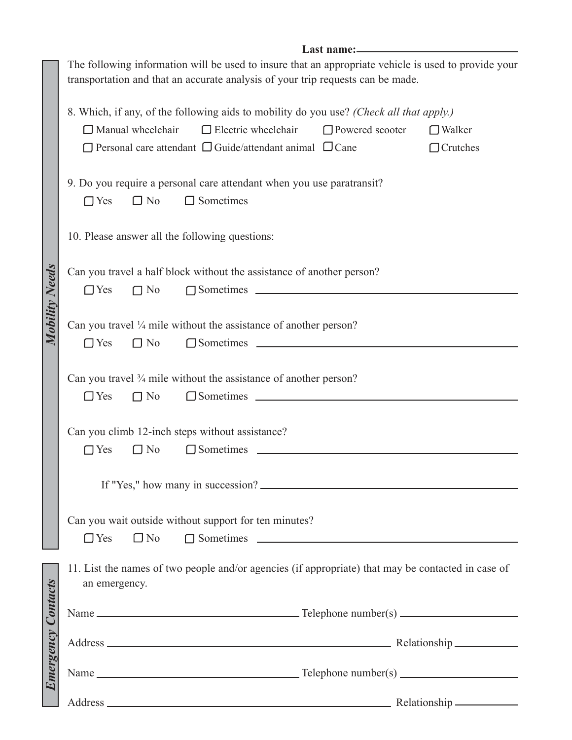|                           | The following information will be used to insure that an appropriate vehicle is used to provide your<br>transportation and that an accurate analysis of your trip requests can be made.                                                                                                     |  |  |  |  |  |  |
|---------------------------|---------------------------------------------------------------------------------------------------------------------------------------------------------------------------------------------------------------------------------------------------------------------------------------------|--|--|--|--|--|--|
|                           | 8. Which, if any, of the following aids to mobility do you use? (Check all that apply.)<br>$\Box$ Electric wheelchair<br>$\Box$ Manual wheelchair<br>$\Box$ Powered scooter<br>$\Box$ Walker<br>$\Box$ Personal care attendant $\Box$ Guide/attendant animal $\Box$ Cane<br>$\Box$ Crutches |  |  |  |  |  |  |
| <b>Mobility Needs</b>     | 9. Do you require a personal care attendant when you use paratransit?<br>$\Box$ Sometimes<br>$\Box$ No<br>$\Box$ Yes                                                                                                                                                                        |  |  |  |  |  |  |
|                           | 10. Please answer all the following questions:                                                                                                                                                                                                                                              |  |  |  |  |  |  |
|                           | Can you travel a half block without the assistance of another person?<br>$\Box$ Sometimes $\Box$<br>$\Box$ Yes<br>$\Box$ No                                                                                                                                                                 |  |  |  |  |  |  |
|                           | Can you travel $\frac{1}{4}$ mile without the assistance of another person?<br>$\Box$ Yes<br>$\Box$ No                                                                                                                                                                                      |  |  |  |  |  |  |
|                           | Can you travel $\frac{3}{4}$ mile without the assistance of another person?<br>$\Box$ Sometimes $\Box$<br>$\Box$ Yes<br>$\Box$ No                                                                                                                                                           |  |  |  |  |  |  |
|                           | Can you climb 12-inch steps without assistance?<br>JYes<br>$\Box$ No<br>$\Box$ Sometimes                                                                                                                                                                                                    |  |  |  |  |  |  |
|                           |                                                                                                                                                                                                                                                                                             |  |  |  |  |  |  |
|                           | Can you wait outside without support for ten minutes?<br>$\Box$ Yes<br>$\Box$ Sometimes $\Box$<br>$\Box$ No                                                                                                                                                                                 |  |  |  |  |  |  |
| <b>Emergency Contacts</b> | 11. List the names of two people and/or agencies (if appropriate) that may be contacted in case of<br>an emergency.                                                                                                                                                                         |  |  |  |  |  |  |
|                           |                                                                                                                                                                                                                                                                                             |  |  |  |  |  |  |
|                           |                                                                                                                                                                                                                                                                                             |  |  |  |  |  |  |
|                           |                                                                                                                                                                                                                                                                                             |  |  |  |  |  |  |

Emerg